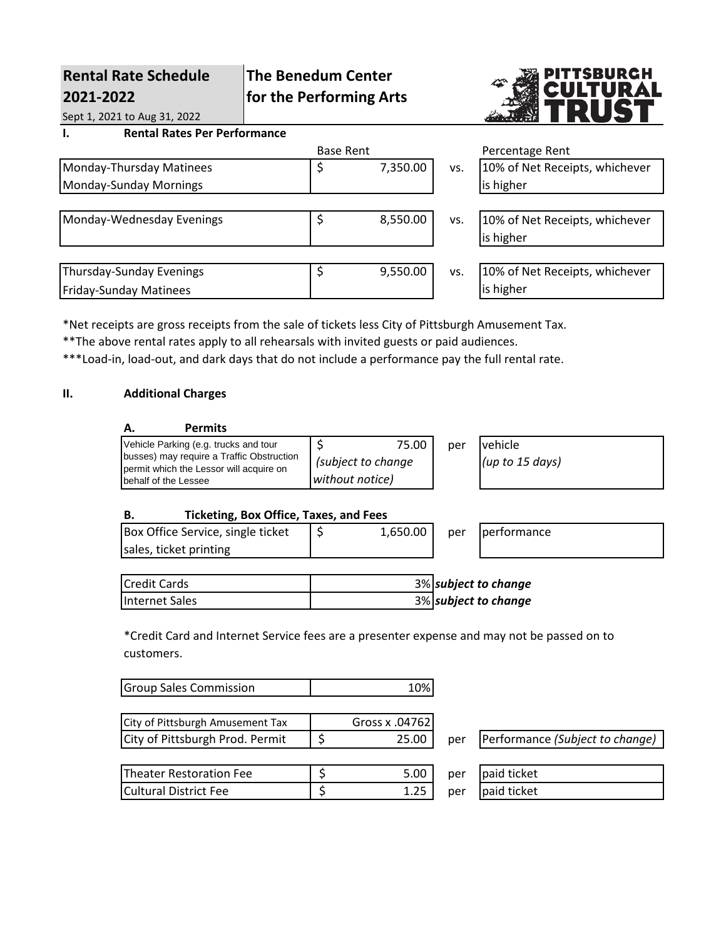| <b>Rental Rate Schedule</b><br>2021-2022  | <b>The Benedum Center</b><br>for the Performing Arts |                  |          | PITTSBURGH<br>CULTURAL<br>Þ |                                |
|-------------------------------------------|------------------------------------------------------|------------------|----------|-----------------------------|--------------------------------|
| Sept 1, 2021 to Aug 31, 2022              |                                                      |                  |          |                             |                                |
| <b>Rental Rates Per Performance</b><br>ı. |                                                      |                  |          |                             |                                |
|                                           |                                                      | <b>Base Rent</b> |          |                             | Percentage Rent                |
| Monday-Thursday Matinees                  |                                                      | \$               | 7,350.00 | VS.                         | 10% of Net Receipts, whichever |
| Monday-Sunday Mornings                    |                                                      |                  |          |                             | is higher                      |
|                                           |                                                      |                  |          |                             |                                |
| Monday-Wednesday Evenings                 |                                                      | \$               | 8,550.00 | VS.                         | 10% of Net Receipts, whichever |
|                                           |                                                      |                  |          |                             | is higher                      |
|                                           |                                                      |                  |          |                             |                                |
| <b>Thursday-Sunday Evenings</b>           |                                                      | \$               | 9,550.00 | VS.                         | 10% of Net Receipts, whichever |
| <b>Friday-Sunday Matinees</b>             |                                                      |                  |          |                             | is higher                      |
|                                           |                                                      |                  |          |                             |                                |

\*Net receipts are gross receipts from the sale of tickets less City of Pittsburgh Amusement Tax.

\*\*The above rental rates apply to all rehearsals with invited guests or paid audiences.

\*\*\*Load-in, load-out, and dark days that do not include a performance pay the full rental rate.

# **II. Additional Charges**

| Vehicle Parking (e.g. trucks and tour                                                | 75.00                                 | per | vehicle         |
|--------------------------------------------------------------------------------------|---------------------------------------|-----|-----------------|
| busses) may require a Traffic Obstruction<br>permit which the Lessor will acquire on | (subject to change<br>without notice) |     | (up to 15 days) |
| Ibehalf of the Lessee                                                                |                                       |     |                 |

## **B. Ticketing, Box Office, Taxes, and Fees**

| Box Office Service, single ticket | 1,650.00 | per | <b>I</b> performance |
|-----------------------------------|----------|-----|----------------------|
| sales, ticket printing            |          |     |                      |

| <b>Credit Cards</b> | 3% subject to change |
|---------------------|----------------------|
| Internet Sales      | 3% subject to change |

\*Credit Card and Internet Service fees are a presenter expense and may not be passed on to customers.

| <b>Group Sales Commission</b>    | 10%            |     |                                 |
|----------------------------------|----------------|-----|---------------------------------|
| City of Pittsburgh Amusement Tax | Gross x .04762 |     |                                 |
| City of Pittsburgh Prod. Permit  | 25.00          | per | Performance (Subject to change) |
|                                  |                |     |                                 |
| <b>Theater Restoration Fee</b>   | 5.00           | per | paid ticket                     |
| <b>Cultural District Fee</b>     | 1.25           | per | paid ticket                     |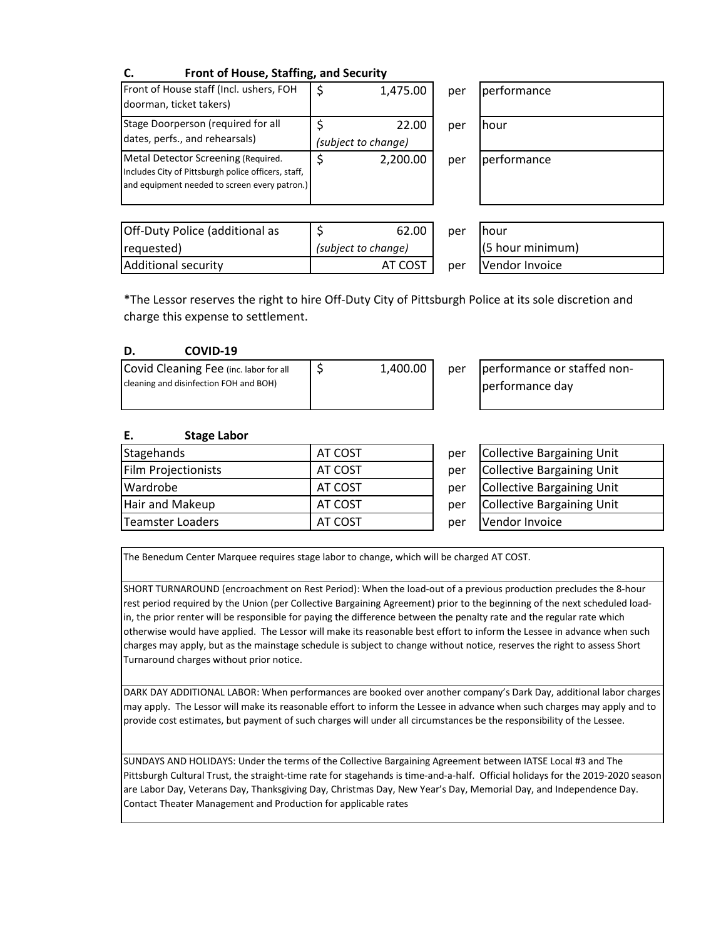| Front of House, Staffing, and Security                                                                                                      |                              |     |             |
|---------------------------------------------------------------------------------------------------------------------------------------------|------------------------------|-----|-------------|
| Front of House staff (Incl. ushers, FOH<br>doorman, ticket takers)                                                                          | 1,475.00                     | per | performance |
| Stage Doorperson (required for all<br>dates, perfs., and rehearsals)                                                                        | 22.00<br>(subject to change) | per | hour        |
| Metal Detector Screening (Required.<br>Includes City of Pittsburgh police officers, staff,<br>and equipment needed to screen every patron.) | \$<br>2,200.00               | per | performance |
|                                                                                                                                             |                              |     |             |

| Off-Duty Police (additional as | 62.00               | per | <b>hour</b>        |
|--------------------------------|---------------------|-----|--------------------|
| requested)                     | (subject to change) |     | $(5$ hour minimum) |
| Additional security            | AT COST             | per | Vendor Invoice     |

| per | performance |
|-----|-------------|
| per | hour        |
| per | performance |
|     |             |

| 62.00   | per | <b>I</b> hour    |
|---------|-----|------------------|
| anqe)   |     | (5 hour minimum) |
| AT COST | per | Vendor Invoice   |

\*The Lessor reserves the right to hire Off-Duty City of Pittsburgh Police at its sole discretion and charge this expense to settlement.

| COVID-19<br>D. |
|----------------|
|----------------|

| Covid Cleaning Fee (inc. labor for all | 1,400.00 | per |
|----------------------------------------|----------|-----|
| cleaning and disinfection FOH and BOH) |          |     |
|                                        |          |     |

performance or staffed nonperformance day

#### **E. Stage Labor**

| Stagehands          | AT COST | per | Collective Barg        |
|---------------------|---------|-----|------------------------|
| Film Projectionists | AT COST | per | Collective Barg        |
| Wardrobe            | AT COST | per | <b>Collective Barg</b> |
| Hair and Makeup     | AT COST | per | Collective Barg        |
| Teamster Loaders    | AT COST | per | Vendor Invoice         |

| AT COST | per | Collective Bargaining Unit        |
|---------|-----|-----------------------------------|
| AT COST | per | Collective Bargaining Unit        |
| AT COST | per | <b>Collective Bargaining Unit</b> |
| AT COST | per | Collective Bargaining Unit        |
| AT COST | per | Vendor Invoice                    |

The Benedum Center Marquee requires stage labor to change, which will be charged AT COST.

SHORT TURNAROUND (encroachment on Rest Period): When the load-out of a previous production precludes the 8-hour rest period required by the Union (per Collective Bargaining Agreement) prior to the beginning of the next scheduled loadin, the prior renter will be responsible for paying the difference between the penalty rate and the regular rate which otherwise would have applied. The Lessor will make its reasonable best effort to inform the Lessee in advance when such charges may apply, but as the mainstage schedule is subject to change without notice, reserves the right to assess Short Turnaround charges without prior notice.

DARK DAY ADDITIONAL LABOR: When performances are booked over another company's Dark Day, additional labor charges may apply. The Lessor will make its reasonable effort to inform the Lessee in advance when such charges may apply and to provide cost estimates, but payment of such charges will under all circumstances be the responsibility of the Lessee.

SUNDAYS AND HOLIDAYS: Under the terms of the Collective Bargaining Agreement between IATSE Local #3 and The Pittsburgh Cultural Trust, the straight-time rate for stagehands is time-and-a-half. Official holidays for the 2019-2020 season are Labor Day, Veterans Day, Thanksgiving Day, Christmas Day, New Year's Day, Memorial Day, and Independence Day. Contact Theater Management and Production for applicable rates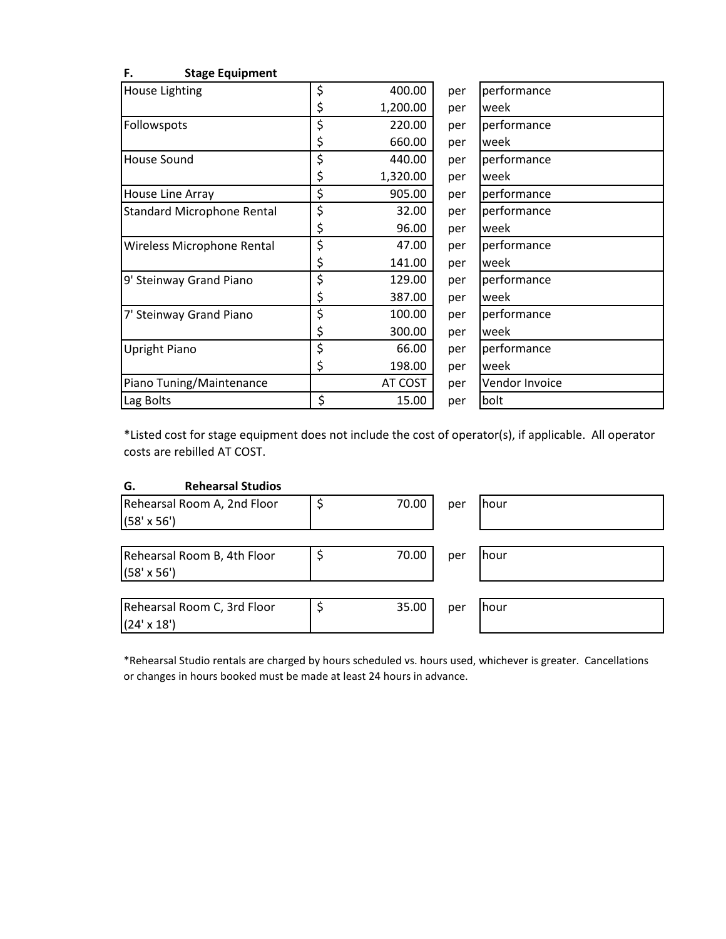| House Lighting                    | \$<br>400.00   | per | performance    |
|-----------------------------------|----------------|-----|----------------|
|                                   | \$<br>1,200.00 | per | week           |
| Followspots                       | \$<br>220.00   | per | performance    |
|                                   | \$<br>660.00   | per | week           |
| House Sound                       | \$<br>440.00   | per | performance    |
|                                   | \$<br>1,320.00 | per | week           |
| House Line Array                  | \$<br>905.00   | per | performance    |
| <b>Standard Microphone Rental</b> | \$<br>32.00    | per | performance    |
|                                   | \$<br>96.00    | per | week           |
| Wireless Microphone Rental        | \$<br>47.00    | per | performance    |
|                                   | \$<br>141.00   | per | week           |
| 9' Steinway Grand Piano           | \$<br>129.00   | per | performance    |
|                                   | \$<br>387.00   | per | week           |
| 7' Steinway Grand Piano           | \$<br>100.00   | per | performance    |
|                                   | \$<br>300.00   | per | week           |
| <b>Upright Piano</b>              | \$<br>66.00    | per | performance    |
|                                   | \$<br>198.00   | per | week           |
| Piano Tuning/Maintenance          | AT COST        | per | Vendor Invoice |
| Lag Bolts                         | \$<br>15.00    | per | bolt           |

**F. Stage Equipment**

\*Listed cost for stage equipment does not include the cost of operator(s), if applicable. All operator costs are rebilled AT COST.

## **G. Rehearsal Studios**

| Rehearsal Room A, 2nd Floor<br>$(58' \times 56')$ | 70.00 | per | hour        |
|---------------------------------------------------|-------|-----|-------------|
| Rehearsal Room B, 4th Floor<br>$(58' \times 56')$ | 70.00 | per | <b>hour</b> |
| Rehearsal Room C, 3rd Floor<br>$(24' \times 18')$ | 35.00 | per | hour        |

\*Rehearsal Studio rentals are charged by hours scheduled vs. hours used, whichever is greater. Cancellations or changes in hours booked must be made at least 24 hours in advance.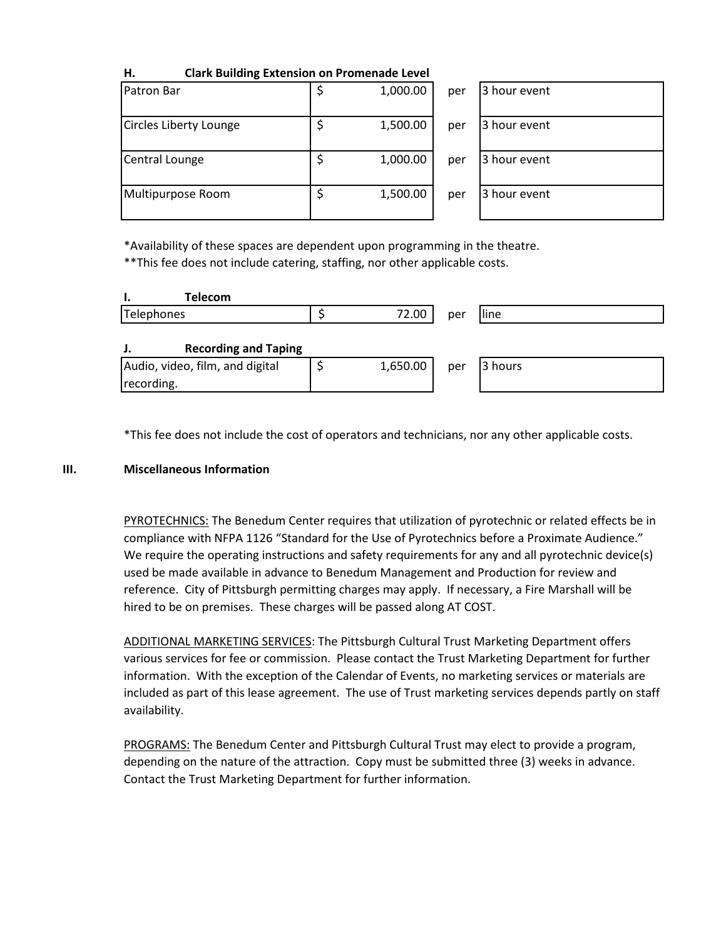| .<br>Clark Dunung Extension on Fromenaue Level |          |     |              |
|------------------------------------------------|----------|-----|--------------|
| Patron Bar                                     | 1,000.00 | per | 3 hour event |
| Circles Liberty Lounge                         | 1,500.00 | per | 3 hour event |
| Central Lounge                                 | 1,000.00 | per | 3 hour event |
| Multipurpose Room                              | 1,500.00 | per | 3 hour event |

**H. Clark Building Extension on Promenade Level**

\*Availability of these spaces are dependent upon programming in the theatre.

\*\*This fee does not include catering, staffing, nor other applicable costs.

| <b>Telecom</b>                                |          |     |         |
|-----------------------------------------------|----------|-----|---------|
| Telephones                                    | 72.00    | per | line    |
| <b>Recording and Taping</b>                   |          |     |         |
| Audio, video, film, and digital<br>recording. | 1,650.00 | per | 3 hours |

\*This fee does not include the cost of operators and technicians, nor any other applicable costs.

#### **III. Miscellaneous Information**

PYROTECHNICS: The Benedum Center requires that utilization of pyrotechnic or related effects be in compliance with NFPA 1126 "Standard for the Use of Pyrotechnics before a Proximate Audience." We require the operating instructions and safety requirements for any and all pyrotechnic device(s) used be made available in advance to Benedum Management and Production for review and reference. City of Pittsburgh permitting charges may apply. If necessary, a Fire Marshall will be hired to be on premises. These charges will be passed along AT COST.

ADDITIONAL MARKETING SERVICES: The Pittsburgh Cultural Trust Marketing Department offers various services for fee or commission. Please contact the Trust Marketing Department for further information. With the exception of the Calendar of Events, no marketing services or materials are included as part of this lease agreement. The use of Trust marketing services depends partly on staff availability.

PROGRAMS: The Benedum Center and Pittsburgh Cultural Trust may elect to provide a program, depending on the nature of the attraction. Copy must be submitted three (3) weeks in advance. Contact the Trust Marketing Department for further information.